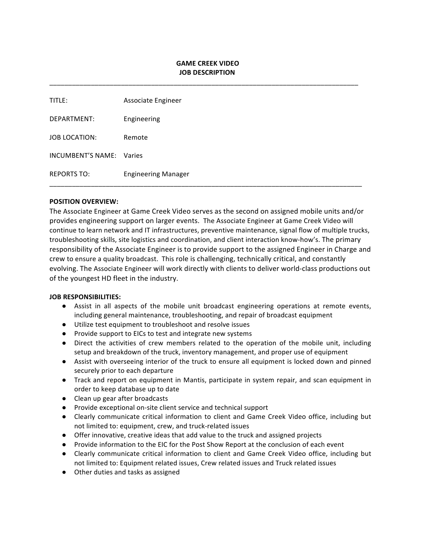# **GAME CREEK VIDEO JOB DESCRIPTION**

\_\_\_\_\_\_\_\_\_\_\_\_\_\_\_\_\_\_\_\_\_\_\_\_\_\_\_\_\_\_\_\_\_\_\_\_\_\_\_\_\_\_\_\_\_\_\_\_\_\_\_\_\_\_\_\_\_\_\_\_\_\_\_\_\_\_\_\_\_\_\_\_\_\_\_\_\_\_\_\_\_\_

| title:                   | Associate Engineer         |
|--------------------------|----------------------------|
| DEPARTMENT:              | Engineering                |
| JOB LOCATION:            | Remote                     |
| INCUMBENT'S NAME: Varies |                            |
| <b>REPORTS TO:</b>       | <b>Engineering Manager</b> |

### **POSITION OVERVIEW:**

The Associate Engineer at Game Creek Video serves as the second on assigned mobile units and/or provides engineering support on larger events. The Associate Engineer at Game Creek Video will continue to learn network and IT infrastructures, preventive maintenance, signal flow of multiple trucks, troubleshooting skills, site logistics and coordination, and client interaction know-how's. The primary responsibility of the Associate Engineer is to provide support to the assigned Engineer in Charge and crew to ensure a quality broadcast. This role is challenging, technically critical, and constantly evolving. The Associate Engineer will work directly with clients to deliver world-class productions out of the youngest HD fleet in the industry.

#### **JOB RESPONSIBILITIES:**

- Assist in all aspects of the mobile unit broadcast engineering operations at remote events, including general maintenance, troubleshooting, and repair of broadcast equipment
- Utilize test equipment to troubleshoot and resolve issues
- Provide support to EICs to test and integrate new systems
- Direct the activities of crew members related to the operation of the mobile unit, including setup and breakdown of the truck, inventory management, and proper use of equipment
- Assist with overseeing interior of the truck to ensure all equipment is locked down and pinned securely prior to each departure
- Track and report on equipment in Mantis, participate in system repair, and scan equipment in order to keep database up to date
- Clean up gear after broadcasts
- Provide exceptional on-site client service and technical support
- Clearly communicate critical information to client and Game Creek Video office, including but not limited to: equipment, crew, and truck-related issues
- Offer innovative, creative ideas that add value to the truck and assigned projects
- Provide information to the EIC for the Post Show Report at the conclusion of each event
- Clearly communicate critical information to client and Game Creek Video office, including but not limited to: Equipment related issues, Crew related issues and Truck related issues
- Other duties and tasks as assigned